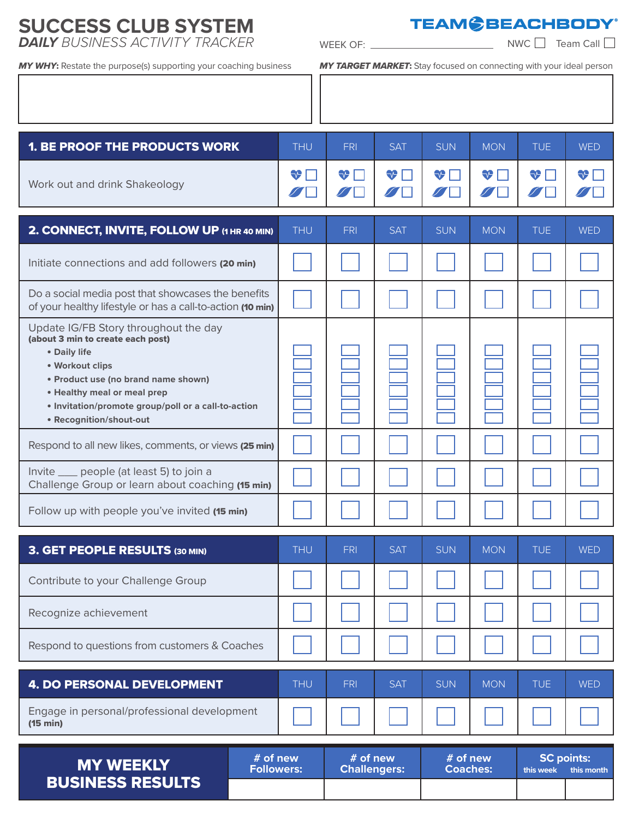## **SUCCESS CLUB SYSTEM DAILY** BUSINESS ACTIVITY TRACKER WEEK OF:

**TEAM CBEACHBODY®** 

 $NWC$  Team Call

*MY WHY*: Restate the purpose(s) supporting your coaching business *MY TARGET MARKET*: Stay focused on connecting with your ideal person

| <b>1. BE PROOF THE PRODUCTS WORK</b>                                                                                                                                                                                                                                  | <b>THU</b> | <b>FRI</b>                      | <b>SAT</b> | <b>SUN</b>                  | <b>MON</b>         | <b>TUE</b>                     | <b>WED</b> |
|-----------------------------------------------------------------------------------------------------------------------------------------------------------------------------------------------------------------------------------------------------------------------|------------|---------------------------------|------------|-----------------------------|--------------------|--------------------------------|------------|
| Work out and drink Shakeology                                                                                                                                                                                                                                         | ❤          | <b>V</b>                        | ₩Г         | $\bigtriangledown$          | $\bigtriangledown$ | $\bigtriangledown$             | <b>VT</b>  |
| 2. CONNECT, INVITE, FOLLOW UP (1 HR 40 MIN)                                                                                                                                                                                                                           | <b>THU</b> | <b>FRI</b>                      | <b>SAT</b> | <b>SUN</b>                  | <b>MON</b>         | <b>TUE</b>                     | <b>WED</b> |
| Initiate connections and add followers (20 min)                                                                                                                                                                                                                       |            |                                 |            |                             |                    |                                |            |
| Do a social media post that showcases the benefits<br>of your healthy lifestyle or has a call-to-action (10 min)                                                                                                                                                      |            |                                 |            |                             |                    |                                |            |
| Update IG/FB Story throughout the day<br>(about 3 min to create each post)<br>• Daily life<br>• Workout clips<br>• Product use (no brand name shown)<br>• Healthy meal or meal prep<br>· Invitation/promote group/poll or a call-to-action<br>• Recognition/shout-out |            |                                 |            |                             |                    |                                |            |
| Respond to all new likes, comments, or views (25 min)                                                                                                                                                                                                                 |            |                                 |            |                             |                    |                                |            |
| Invite __ people (at least 5) to join a<br>Challenge Group or learn about coaching (15 min)                                                                                                                                                                           |            |                                 |            |                             |                    |                                |            |
| Follow up with people you've invited (15 min)                                                                                                                                                                                                                         |            |                                 |            |                             |                    |                                |            |
| <b>3. GET PEOPLE RESULTS (30 MIN)</b>                                                                                                                                                                                                                                 | <b>THU</b> | <b>FRI</b>                      | <b>SAT</b> | <b>SUN</b>                  | <b>MON</b>         | <b>TUE</b>                     | <b>WED</b> |
| Contribute to your Challenge Group                                                                                                                                                                                                                                    |            |                                 |            |                             |                    |                                |            |
| Recognize achievement                                                                                                                                                                                                                                                 |            |                                 |            |                             |                    |                                |            |
| Respond to questions from customers & Coaches                                                                                                                                                                                                                         |            |                                 |            |                             |                    |                                |            |
| <b>4. DO PERSONAL DEVELOPMENT</b>                                                                                                                                                                                                                                     | <b>THU</b> | <b>FRI</b>                      | <b>SAT</b> | <b>SUN</b>                  | <b>MON</b>         | <b>TUE</b>                     | <b>WED</b> |
| Engage in personal/professional development<br>(15 min)                                                                                                                                                                                                               |            |                                 |            |                             |                    |                                |            |
| # of new<br><b>MY WEEKLY</b><br><b>Followers:</b><br><b>BUSINESS RESULTS</b>                                                                                                                                                                                          |            | # of new<br><b>Challengers:</b> |            | # of new<br><b>Coaches:</b> |                    | <b>SC points:</b><br>this week | this month |